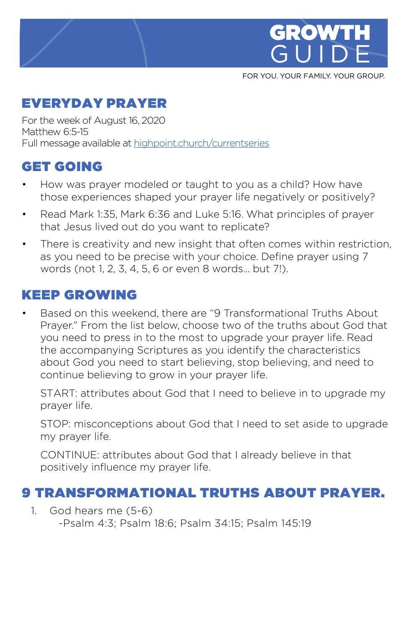

FOR YOU. YOUR FAMILY. YOUR GROUP.

### EVERYDAY PRAYER

For the week of August 16, 2020 Matthew 6:5-15 Full message available at [highpoint.church/currentseries](http://highpoint.church/currentseries)

# GET GOING

- How was prayer modeled or taught to you as a child? How have those experiences shaped your prayer life negatively or positively?
- Read Mark 1:35, Mark 6:36 and Luke 5:16. What principles of prayer that Jesus lived out do you want to replicate?
- There is creativity and new insight that often comes within restriction, as you need to be precise with your choice. Define prayer using 7 words (not 1, 2, 3, 4, 5, 6 or even 8 words… but 7!).

## KEEP GROWING

• Based on this weekend, there are "9 Transformational Truths About Prayer." From the list below, choose two of the truths about God that you need to press in to the most to upgrade your prayer life. Read the accompanying Scriptures as you identify the characteristics about God you need to start believing, stop believing, and need to continue believing to grow in your prayer life.

START: attributes about God that I need to believe in to upgrade my prayer life.

STOP: misconceptions about God that I need to set aside to upgrade my prayer life.

CONTINUE: attributes about God that I already believe in that positively influence my prayer life.

### 9 TRANSFORMATIONAL TRUTHS ABOUT PRAYER.

1. God hears me (5-6) -Psalm 4:3; Psalm 18:6; Psalm 34:15; Psalm 145:19